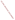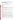# **Technical Factsheet on: POLYCYCLIC AROMATIC HYDROCARBONS (PAHs)**

[List of Contaminants](http://www.epa.gov/safewater/hfacts.html) 

 As part of the Drinking Water and Health pages, this fact sheet is part of a larger publication: **National Primary Drinking Water Regulations** 

Drinking Water Standards MCLG: zero mg/L Mcl: 0.0002 mg/L HAL(child): none

## **Health Effects Summary**

 cause the following health effects from acute exposures at levels above the MCL: red blood cell damage, Acute: EPA has found polycyclic aromatic hydrocarbons (PAHs) similar to benzo(a)pyrene to potentially leading to anemia; suppressed immune system.

Drinking water levels which are considered "safe" for short-term exposures have not been established at this time.

 at levels above the MCL: developmental and reproductive effects. Chronic: Benzo(a)pyrene has the potential to cause the following health effects from long-term exposures

Cancer: There is some evidence that benzo(a)pyrene has the potential to cause cancer from a lifetime exposure at levels above the MCL.

### **Usage Patterns**

Benzo(a)pyrene is one of a group of compounds called polycyclic aromatic hydrocarbons (PAHs), or polynuclear aromatic hydrocarbons (PNAs). They are not produced or used commercially but are ubiquitous in that they are formed as a result of incomplete combustion of organic materials.

### **Release Patterns**

 PAHs are found in exhaust from motor vehicles and other gasoline and diesel engines, emission from ovens, and asphalt processing and use. coal-, oil-, and wood-burning stoves and furnaces, cigarette smoke; general soot and smoke of industrial, municipal, and domestic origin, and cooked foods, especially charcoal-broiled; in incinerators, coke

There are two major sources of PAHs in drinking water: 1) contamination of raw water supplies from natural and man-made sources, and 2) leachate from coal tar and asphalt linings in water storage tanks and distribution lines. PAHs in raw water will tend to adsorb to any particulate matter and be removed by filtration before reaching the tap.

 PAHs in tap water will mainly be due to the presence of PAH-containing materials in water storage and distribution systems. Though few data are available for estimating the potential for PAH release to water from these materials, there are reports that levels can reach 0.01 mg/L with optimum leaching conditions.

## **Environmental Fate**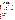Released benzo(a)pyrene is largely associated with particulate matter, soils, and sediments. Although environmental concentrations are highest near sources, its presence in places distant from primary sources indicates that it is reasonably stable in the atmosphere and capable of long distance transport.

 can retard this process. It may also be removed by reaction with ozone (half-life 37 min) and NO2 (half-When released to air it may be subject to direct photolysis, although adsorption to particulates apparently life 7 days), and an estimated half-life for reaction with photochemically produced hydroxyl radicals is 21.49 hr.

 natural waters without use as carbon or energy source, but in most waters and in sediments it is stable towards biodegradation. BaP will be expected to undergo significant photodegradation near the surface of If released to water, it will be expected to adsorb very strongly to sediments and particulate matter. It will not hydrolyze. It has been shown to be susceptible to significant metabolism by microorganisms in some waters. Evaporation may be significant with a predicted half-life of 43 days. However, adsorption to sediments and particulates may significantly retard biodegradation, photodegradation, and evaporation.

 to be significant. Biodegradation tests in soils have resulted in a wide range of reported half-lives: 2 days If released to soil it will be expected to adsorb very strongly and will not be expected to leach to the groundwater. However, its presence in some groundwater samples indicates that it can be transported there by some mechanism. It will not hydrolyze, and evaporation from soils and surfaces is not expected to 1.9 yr. Based on these values and the apparent lack of a significant competing fate process, biodegradation may be an important process in soils.

 hydrocarbons. For example, BCFs have been found to be very low (<1) for mudsuckers, sculpins and Benzo(a)pyrene is expected to bioconcentrate in aquatic organisms that can not metabolize it. Reported BCFs include: Oysters, 3000; Rainbow trout, 920; Bluegills, 2,657; zooplankton, 1000 to 13,000. The presence of humic acid in solution has been shown to decrease bioconcentration. Those organisms which lack a metabolic detoxification enzyme system, tend to accumulate polycyclic aromatic sand dabs.

 water. Especially high exposure will occur through the smoking of cigarettes and the ingestion of certain Human exposure will be from inhalation of contaminated air and consumption of contaminated food and foods (eg smoked and charcoal broiled meats and fish).

### **Chemical/ Physical Properties**

CAS Number: 50-32-8

Color/ Form/Odor: Pale yellow needlelike crystals, faintly aromatic

M.P.: 179-179.3 C B.P.: >360 C

Vapor Pressure: >1 mm Hg at 20 C

Density/Spec. Grav.: 1.35 at 15 C

Octanol/Water Partition (Kow): Log Kow = 6.04

Solubility: 0.0038 mg/L of water at 25 C; very low solubility in water

Soil sorption coefficient: Log Koc =6.6 to 6.8; very low mobility in soil

Odor/Taste Thresholds: N/A